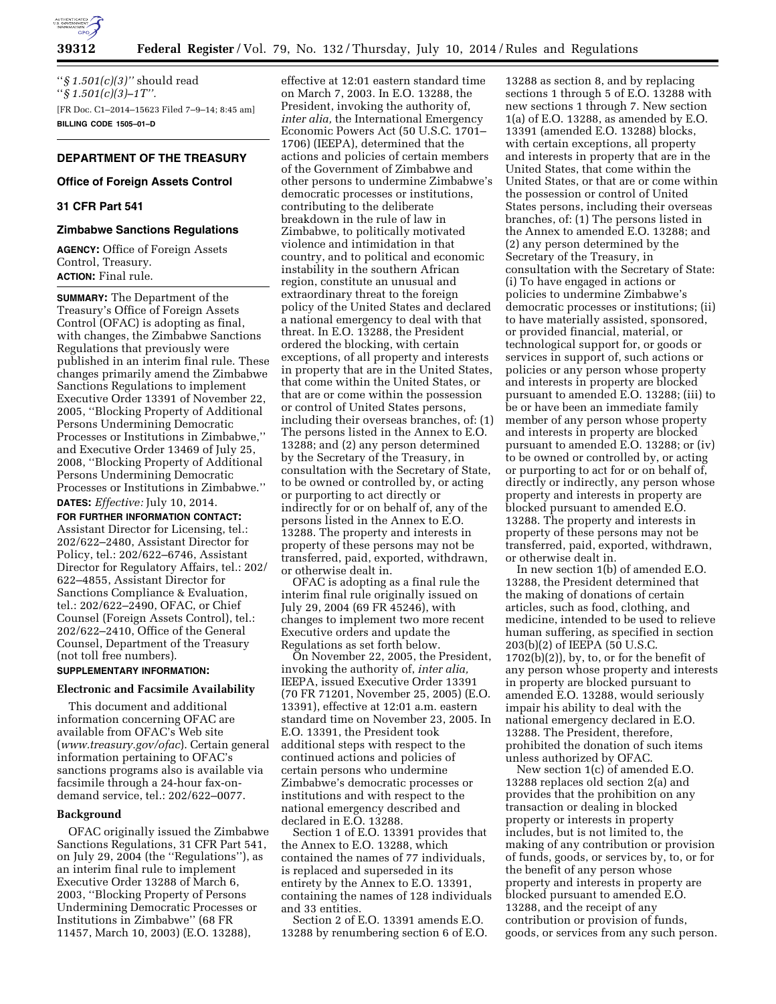

''*§ 1.501(c)(3)''* should read ''*§ 1.501(c)(3)–1T''.*  [FR Doc. C1–2014–15623 Filed 7–9–14; 8:45 am] **BILLING CODE 1505–01–D** 

# **DEPARTMENT OF THE TREASURY**

## **Office of Foreign Assets Control**

# **31 CFR Part 541**

### **Zimbabwe Sanctions Regulations**

**AGENCY:** Office of Foreign Assets Control, Treasury. **ACTION:** Final rule.

**SUMMARY:** The Department of the Treasury's Office of Foreign Assets Control (OFAC) is adopting as final, with changes, the Zimbabwe Sanctions Regulations that previously were published in an interim final rule. These changes primarily amend the Zimbabwe Sanctions Regulations to implement Executive Order 13391 of November 22, 2005, ''Blocking Property of Additional Persons Undermining Democratic Processes or Institutions in Zimbabwe,'' and Executive Order 13469 of July 25, 2008, ''Blocking Property of Additional Persons Undermining Democratic Processes or Institutions in Zimbabwe.'' **DATES:** *Effective:* July 10, 2014.

**FOR FURTHER INFORMATION CONTACT:** 

Assistant Director for Licensing, tel.: 202/622–2480, Assistant Director for Policy, tel.: 202/622–6746, Assistant Director for Regulatory Affairs, tel.: 202/ 622–4855, Assistant Director for Sanctions Compliance & Evaluation, tel.: 202/622–2490, OFAC, or Chief Counsel (Foreign Assets Control), tel.: 202/622–2410, Office of the General Counsel, Department of the Treasury (not toll free numbers).

# **SUPPLEMENTARY INFORMATION:**

# **Electronic and Facsimile Availability**

This document and additional information concerning OFAC are available from OFAC's Web site (*www.treasury.gov/ofac*). Certain general information pertaining to OFAC's sanctions programs also is available via facsimile through a 24-hour fax-ondemand service, tel.: 202/622–0077.

## **Background**

OFAC originally issued the Zimbabwe Sanctions Regulations, 31 CFR Part 541, on July 29, 2004 (the ''Regulations''), as an interim final rule to implement Executive Order 13288 of March 6, 2003, ''Blocking Property of Persons Undermining Democratic Processes or Institutions in Zimbabwe'' (68 FR 11457, March 10, 2003) (E.O. 13288),

effective at 12:01 eastern standard time on March 7, 2003. In E.O. 13288, the President, invoking the authority of, *inter alia,* the International Emergency Economic Powers Act (50 U.S.C. 1701– 1706) (IEEPA), determined that the actions and policies of certain members of the Government of Zimbabwe and other persons to undermine Zimbabwe's democratic processes or institutions, contributing to the deliberate breakdown in the rule of law in Zimbabwe, to politically motivated violence and intimidation in that country, and to political and economic instability in the southern African region, constitute an unusual and extraordinary threat to the foreign policy of the United States and declared a national emergency to deal with that threat. In E.O. 13288, the President ordered the blocking, with certain exceptions, of all property and interests in property that are in the United States, that come within the United States, or that are or come within the possession or control of United States persons, including their overseas branches, of: (1) The persons listed in the Annex to E.O. 13288; and (2) any person determined by the Secretary of the Treasury, in consultation with the Secretary of State, to be owned or controlled by, or acting or purporting to act directly or indirectly for or on behalf of, any of the persons listed in the Annex to E.O. 13288. The property and interests in property of these persons may not be transferred, paid, exported, withdrawn, or otherwise dealt in.

OFAC is adopting as a final rule the interim final rule originally issued on July 29, 2004 (69 FR 45246), with changes to implement two more recent Executive orders and update the Regulations as set forth below.

On November 22, 2005, the President, invoking the authority of, *inter alia,*  IEEPA, issued Executive Order 13391 (70 FR 71201, November 25, 2005) (E.O. 13391), effective at 12:01 a.m. eastern standard time on November 23, 2005. In E.O. 13391, the President took additional steps with respect to the continued actions and policies of certain persons who undermine Zimbabwe's democratic processes or institutions and with respect to the national emergency described and declared in E.O. 13288.

Section 1 of E.O. 13391 provides that the Annex to E.O. 13288, which contained the names of 77 individuals, is replaced and superseded in its entirety by the Annex to E.O. 13391, containing the names of 128 individuals and 33 entities.

Section 2 of E.O. 13391 amends E.O. 13288 by renumbering section 6 of E.O.

13288 as section 8, and by replacing sections 1 through 5 of E.O. 13288 with new sections 1 through 7. New section 1(a) of E.O. 13288, as amended by E.O. 13391 (amended E.O. 13288) blocks, with certain exceptions, all property and interests in property that are in the United States, that come within the United States, or that are or come within the possession or control of United States persons, including their overseas branches, of: (1) The persons listed in the Annex to amended E.O. 13288; and (2) any person determined by the Secretary of the Treasury, in consultation with the Secretary of State: (i) To have engaged in actions or policies to undermine Zimbabwe's democratic processes or institutions; (ii) to have materially assisted, sponsored, or provided financial, material, or technological support for, or goods or services in support of, such actions or policies or any person whose property and interests in property are blocked pursuant to amended E.O. 13288; (iii) to be or have been an immediate family member of any person whose property and interests in property are blocked pursuant to amended E.O. 13288; or (iv) to be owned or controlled by, or acting or purporting to act for or on behalf of, directly or indirectly, any person whose property and interests in property are blocked pursuant to amended E.O. 13288. The property and interests in property of these persons may not be transferred, paid, exported, withdrawn, or otherwise dealt in.

In new section 1(b) of amended E.O. 13288, the President determined that the making of donations of certain articles, such as food, clothing, and medicine, intended to be used to relieve human suffering, as specified in section 203(b)(2) of IEEPA (50 U.S.C. 1702(b)(2)), by, to, or for the benefit of any person whose property and interests in property are blocked pursuant to amended E.O. 13288, would seriously impair his ability to deal with the national emergency declared in E.O. 13288. The President, therefore, prohibited the donation of such items unless authorized by OFAC.

New section 1(c) of amended E.O. 13288 replaces old section 2(a) and provides that the prohibition on any transaction or dealing in blocked property or interests in property includes, but is not limited to, the making of any contribution or provision of funds, goods, or services by, to, or for the benefit of any person whose property and interests in property are blocked pursuant to amended E.O. 13288, and the receipt of any contribution or provision of funds, goods, or services from any such person.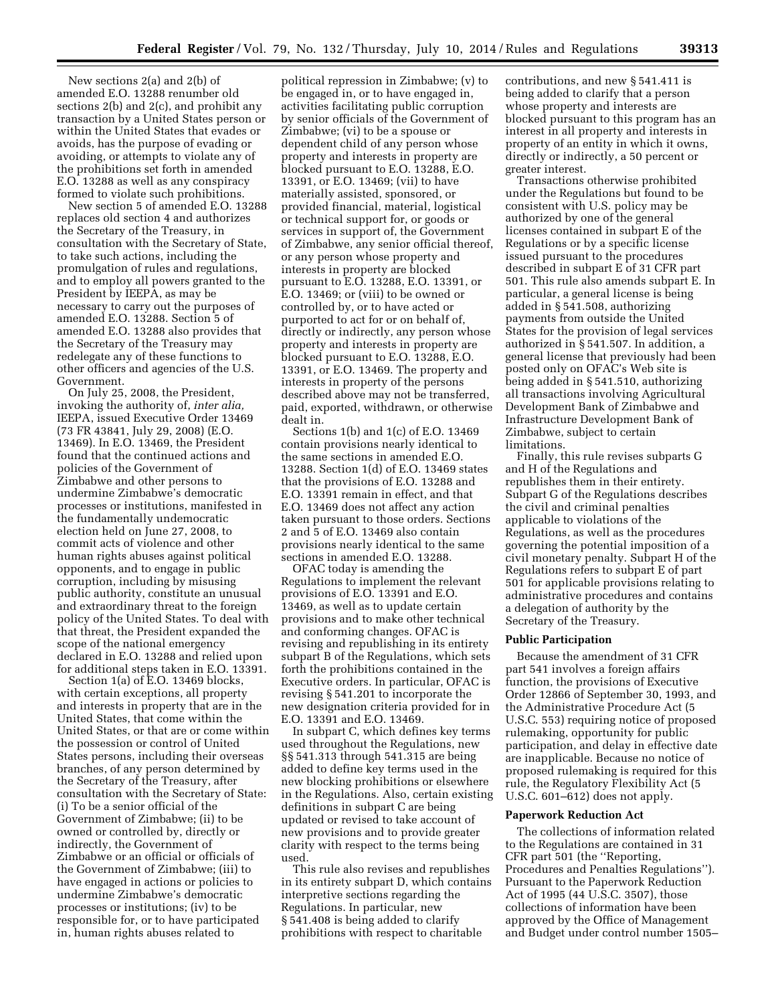New sections 2(a) and 2(b) of amended E.O. 13288 renumber old sections 2(b) and 2(c), and prohibit any transaction by a United States person or within the United States that evades or avoids, has the purpose of evading or avoiding, or attempts to violate any of the prohibitions set forth in amended E.O. 13288 as well as any conspiracy formed to violate such prohibitions.

New section 5 of amended E.O. 13288 replaces old section 4 and authorizes the Secretary of the Treasury, in consultation with the Secretary of State, to take such actions, including the promulgation of rules and regulations, and to employ all powers granted to the President by IEEPA, as may be necessary to carry out the purposes of amended E.O. 13288. Section 5 of amended E.O. 13288 also provides that the Secretary of the Treasury may redelegate any of these functions to other officers and agencies of the U.S. Government.

On July 25, 2008, the President, invoking the authority of, *inter alia,*  IEEPA, issued Executive Order 13469 (73 FR 43841, July 29, 2008) (E.O. 13469). In E.O. 13469, the President found that the continued actions and policies of the Government of Zimbabwe and other persons to undermine Zimbabwe's democratic processes or institutions, manifested in the fundamentally undemocratic election held on June 27, 2008, to commit acts of violence and other human rights abuses against political opponents, and to engage in public corruption, including by misusing public authority, constitute an unusual and extraordinary threat to the foreign policy of the United States. To deal with that threat, the President expanded the scope of the national emergency declared in E.O. 13288 and relied upon for additional steps taken in E.O. 13391.

Section 1(a) of E.O. 13469 blocks, with certain exceptions, all property and interests in property that are in the United States, that come within the United States, or that are or come within the possession or control of United States persons, including their overseas branches, of any person determined by the Secretary of the Treasury, after consultation with the Secretary of State: (i) To be a senior official of the Government of Zimbabwe; (ii) to be owned or controlled by, directly or indirectly, the Government of Zimbabwe or an official or officials of the Government of Zimbabwe; (iii) to have engaged in actions or policies to undermine Zimbabwe's democratic processes or institutions; (iv) to be responsible for, or to have participated in, human rights abuses related to

political repression in Zimbabwe; (v) to be engaged in, or to have engaged in, activities facilitating public corruption by senior officials of the Government of Zimbabwe; (vi) to be a spouse or dependent child of any person whose property and interests in property are blocked pursuant to E.O. 13288, E.O. 13391, or E.O. 13469; (vii) to have materially assisted, sponsored, or provided financial, material, logistical or technical support for, or goods or services in support of, the Government of Zimbabwe, any senior official thereof, or any person whose property and interests in property are blocked pursuant to E.O. 13288, E.O. 13391, or E.O. 13469; or (viii) to be owned or controlled by, or to have acted or purported to act for or on behalf of, directly or indirectly, any person whose property and interests in property are blocked pursuant to E.O. 13288, E.O. 13391, or E.O. 13469. The property and interests in property of the persons described above may not be transferred, paid, exported, withdrawn, or otherwise dealt in.

Sections 1(b) and 1(c) of E.O. 13469 contain provisions nearly identical to the same sections in amended E.O. 13288. Section 1(d) of E.O. 13469 states that the provisions of E.O. 13288 and E.O. 13391 remain in effect, and that E.O. 13469 does not affect any action taken pursuant to those orders. Sections 2 and 5 of E.O. 13469 also contain provisions nearly identical to the same sections in amended E.O. 13288.

OFAC today is amending the Regulations to implement the relevant provisions of E.O. 13391 and E.O. 13469, as well as to update certain provisions and to make other technical and conforming changes. OFAC is revising and republishing in its entirety subpart B of the Regulations, which sets forth the prohibitions contained in the Executive orders. In particular, OFAC is revising § 541.201 to incorporate the new designation criteria provided for in E.O. 13391 and E.O. 13469.

In subpart C, which defines key terms used throughout the Regulations, new §§ 541.313 through 541.315 are being added to define key terms used in the new blocking prohibitions or elsewhere in the Regulations. Also, certain existing definitions in subpart C are being updated or revised to take account of new provisions and to provide greater clarity with respect to the terms being used.

This rule also revises and republishes in its entirety subpart D, which contains interpretive sections regarding the Regulations. In particular, new § 541.408 is being added to clarify prohibitions with respect to charitable

contributions, and new § 541.411 is being added to clarify that a person whose property and interests are blocked pursuant to this program has an interest in all property and interests in property of an entity in which it owns, directly or indirectly, a 50 percent or greater interest.

Transactions otherwise prohibited under the Regulations but found to be consistent with U.S. policy may be authorized by one of the general licenses contained in subpart E of the Regulations or by a specific license issued pursuant to the procedures described in subpart E of 31 CFR part 501. This rule also amends subpart E. In particular, a general license is being added in § 541.508, authorizing payments from outside the United States for the provision of legal services authorized in § 541.507. In addition, a general license that previously had been posted only on OFAC's Web site is being added in § 541.510, authorizing all transactions involving Agricultural Development Bank of Zimbabwe and Infrastructure Development Bank of Zimbabwe, subject to certain limitations.

Finally, this rule revises subparts G and H of the Regulations and republishes them in their entirety. Subpart G of the Regulations describes the civil and criminal penalties applicable to violations of the Regulations, as well as the procedures governing the potential imposition of a civil monetary penalty. Subpart H of the Regulations refers to subpart E of part 501 for applicable provisions relating to administrative procedures and contains a delegation of authority by the Secretary of the Treasury.

### **Public Participation**

Because the amendment of 31 CFR part 541 involves a foreign affairs function, the provisions of Executive Order 12866 of September 30, 1993, and the Administrative Procedure Act (5 U.S.C. 553) requiring notice of proposed rulemaking, opportunity for public participation, and delay in effective date are inapplicable. Because no notice of proposed rulemaking is required for this rule, the Regulatory Flexibility Act (5 U.S.C. 601–612) does not apply.

### **Paperwork Reduction Act**

The collections of information related to the Regulations are contained in 31 CFR part 501 (the ''Reporting, Procedures and Penalties Regulations''). Pursuant to the Paperwork Reduction Act of 1995 (44 U.S.C. 3507), those collections of information have been approved by the Office of Management and Budget under control number 1505–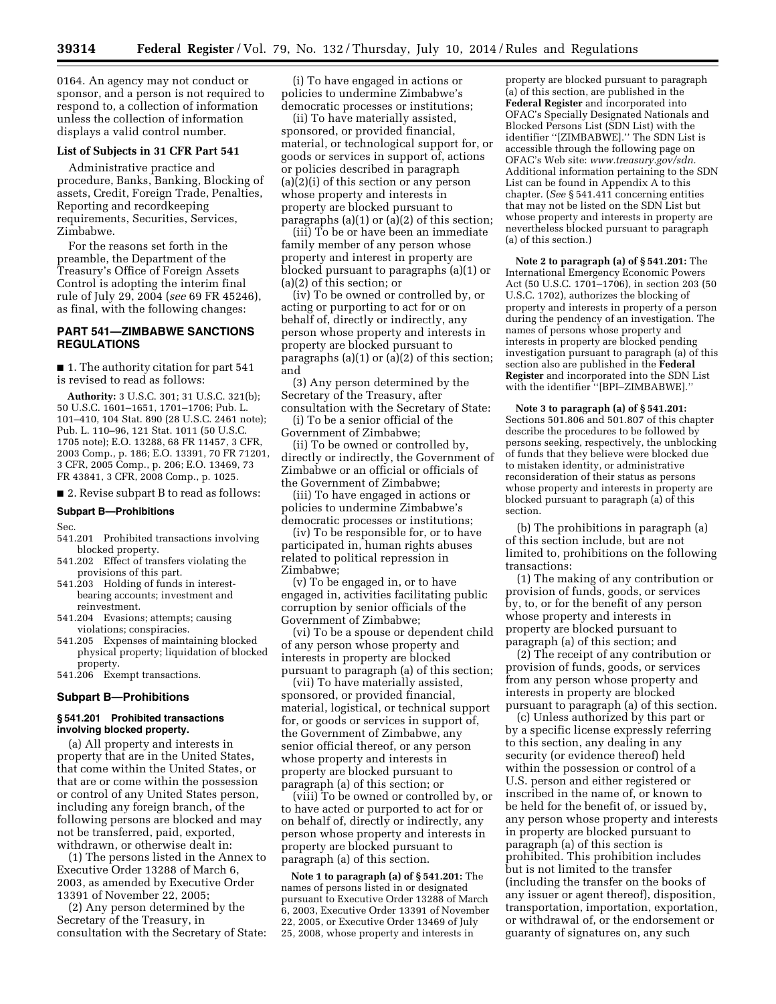0164. An agency may not conduct or sponsor, and a person is not required to respond to, a collection of information unless the collection of information displays a valid control number.

# **List of Subjects in 31 CFR Part 541**

Administrative practice and procedure, Banks, Banking, Blocking of assets, Credit, Foreign Trade, Penalties, Reporting and recordkeeping requirements, Securities, Services, Zimbabwe.

For the reasons set forth in the preamble, the Department of the Treasury's Office of Foreign Assets Control is adopting the interim final rule of July 29, 2004 (*see* 69 FR 45246), as final, with the following changes:

# **PART 541—ZIMBABWE SANCTIONS REGULATIONS**

■ 1. The authority citation for part 541 is revised to read as follows:

**Authority:** 3 U.S.C. 301; 31 U.S.C. 321(b); 50 U.S.C. 1601–1651, 1701–1706; Pub. L. 101–410, 104 Stat. 890 (28 U.S.C. 2461 note); Pub. L. 110–96, 121 Stat. 1011 (50 U.S.C. 1705 note); E.O. 13288, 68 FR 11457, 3 CFR, 2003 Comp., p. 186; E.O. 13391, 70 FR 71201, 3 CFR, 2005 Comp., p. 206; E.O. 13469, 73 FR 43841, 3 CFR, 2008 Comp., p. 1025.

■ 2. Revise subpart B to read as follows:

### **Subpart B—Prohibitions**

Sec.

- 541.201 Prohibited transactions involving blocked property.
- 541.202 Effect of transfers violating the provisions of this part.
- 541.203 Holding of funds in interestbearing accounts; investment and reinvestment.
- 541.204 Evasions; attempts; causing violations; conspiracies.
- 541.205 Expenses of maintaining blocked physical property; liquidation of blocked property.
- 541.206 Exempt transactions.

#### **Subpart B—Prohibitions**

### **§ 541.201 Prohibited transactions involving blocked property.**

(a) All property and interests in property that are in the United States, that come within the United States, or that are or come within the possession or control of any United States person, including any foreign branch, of the following persons are blocked and may not be transferred, paid, exported, withdrawn, or otherwise dealt in:

(1) The persons listed in the Annex to Executive Order 13288 of March 6, 2003, as amended by Executive Order 13391 of November 22, 2005;

(2) Any person determined by the Secretary of the Treasury, in consultation with the Secretary of State:

(i) To have engaged in actions or policies to undermine Zimbabwe's democratic processes or institutions;

(ii) To have materially assisted, sponsored, or provided financial, material, or technological support for, or goods or services in support of, actions or policies described in paragraph (a)(2)(i) of this section or any person whose property and interests in property are blocked pursuant to paragraphs (a)(1) or (a)(2) of this section;

(iii) To be or have been an immediate family member of any person whose property and interest in property are blocked pursuant to paragraphs (a)(1) or (a)(2) of this section; or

(iv) To be owned or controlled by, or acting or purporting to act for or on behalf of, directly or indirectly, any person whose property and interests in property are blocked pursuant to paragraphs (a)(1) or (a)(2) of this section; and

(3) Any person determined by the Secretary of the Treasury, after consultation with the Secretary of State:

(i) To be a senior official of the Government of Zimbabwe;

(ii) To be owned or controlled by, directly or indirectly, the Government of Zimbabwe or an official or officials of the Government of Zimbabwe;

(iii) To have engaged in actions or policies to undermine Zimbabwe's democratic processes or institutions;

(iv) To be responsible for, or to have participated in, human rights abuses related to political repression in Zimbabwe;

(v) To be engaged in, or to have engaged in, activities facilitating public corruption by senior officials of the Government of Zimbabwe;

(vi) To be a spouse or dependent child of any person whose property and interests in property are blocked pursuant to paragraph (a) of this section;

(vii) To have materially assisted, sponsored, or provided financial, material, logistical, or technical support for, or goods or services in support of, the Government of Zimbabwe, any senior official thereof, or any person whose property and interests in property are blocked pursuant to paragraph (a) of this section; or

(viii) To be owned or controlled by, or to have acted or purported to act for or on behalf of, directly or indirectly, any person whose property and interests in property are blocked pursuant to paragraph (a) of this section.

**Note 1 to paragraph (a) of § 541.201:** The names of persons listed in or designated pursuant to Executive Order 13288 of March 6, 2003, Executive Order 13391 of November 22, 2005, or Executive Order 13469 of July 25, 2008, whose property and interests in

property are blocked pursuant to paragraph (a) of this section, are published in the **Federal Register** and incorporated into OFAC's Specially Designated Nationals and Blocked Persons List (SDN List) with the identifier ''[ZIMBABWE].'' The SDN List is accessible through the following page on OFAC's Web site: *www.treasury.gov/sdn.*  Additional information pertaining to the SDN List can be found in Appendix A to this chapter. (*See* § 541.411 concerning entities that may not be listed on the SDN List but whose property and interests in property are nevertheless blocked pursuant to paragraph (a) of this section.)

**Note 2 to paragraph (a) of § 541.201:** The International Emergency Economic Powers Act (50 U.S.C. 1701–1706), in section 203 (50 U.S.C. 1702), authorizes the blocking of property and interests in property of a person during the pendency of an investigation. The names of persons whose property and interests in property are blocked pending investigation pursuant to paragraph (a) of this section also are published in the **Federal Register** and incorporated into the SDN List with the identifier ''[BPI–ZIMBABWE].''

**Note 3 to paragraph (a) of § 541.201:**  Sections 501.806 and 501.807 of this chapter describe the procedures to be followed by persons seeking, respectively, the unblocking of funds that they believe were blocked due to mistaken identity, or administrative reconsideration of their status as persons whose property and interests in property are blocked pursuant to paragraph (a) of this section.

(b) The prohibitions in paragraph (a) of this section include, but are not limited to, prohibitions on the following transactions:

(1) The making of any contribution or provision of funds, goods, or services by, to, or for the benefit of any person whose property and interests in property are blocked pursuant to paragraph (a) of this section; and

(2) The receipt of any contribution or provision of funds, goods, or services from any person whose property and interests in property are blocked pursuant to paragraph (a) of this section.

(c) Unless authorized by this part or by a specific license expressly referring to this section, any dealing in any security (or evidence thereof) held within the possession or control of a U.S. person and either registered or inscribed in the name of, or known to be held for the benefit of, or issued by, any person whose property and interests in property are blocked pursuant to paragraph (a) of this section is prohibited. This prohibition includes but is not limited to the transfer (including the transfer on the books of any issuer or agent thereof), disposition, transportation, importation, exportation, or withdrawal of, or the endorsement or guaranty of signatures on, any such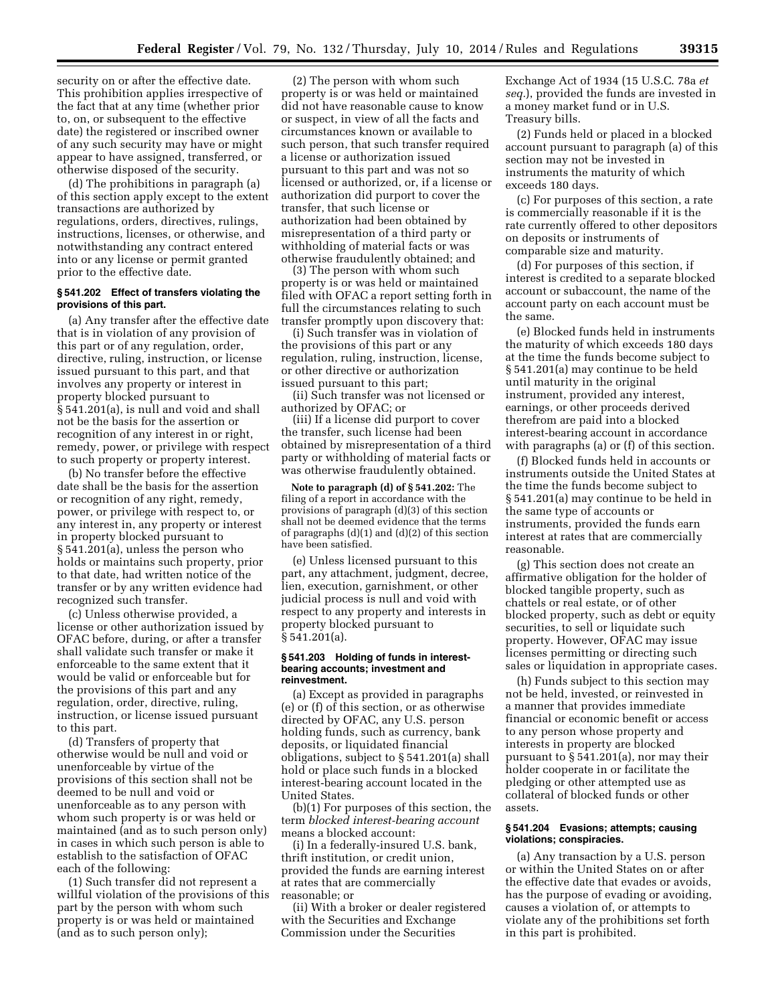security on or after the effective date. This prohibition applies irrespective of the fact that at any time (whether prior to, on, or subsequent to the effective date) the registered or inscribed owner of any such security may have or might appear to have assigned, transferred, or otherwise disposed of the security.

(d) The prohibitions in paragraph (a) of this section apply except to the extent transactions are authorized by regulations, orders, directives, rulings, instructions, licenses, or otherwise, and notwithstanding any contract entered into or any license or permit granted prior to the effective date.

### **§ 541.202 Effect of transfers violating the provisions of this part.**

(a) Any transfer after the effective date that is in violation of any provision of this part or of any regulation, order, directive, ruling, instruction, or license issued pursuant to this part, and that involves any property or interest in property blocked pursuant to § 541.201(a), is null and void and shall not be the basis for the assertion or recognition of any interest in or right, remedy, power, or privilege with respect to such property or property interest.

(b) No transfer before the effective date shall be the basis for the assertion or recognition of any right, remedy, power, or privilege with respect to, or any interest in, any property or interest in property blocked pursuant to § 541.201(a), unless the person who holds or maintains such property, prior to that date, had written notice of the transfer or by any written evidence had recognized such transfer.

(c) Unless otherwise provided, a license or other authorization issued by OFAC before, during, or after a transfer shall validate such transfer or make it enforceable to the same extent that it would be valid or enforceable but for the provisions of this part and any regulation, order, directive, ruling, instruction, or license issued pursuant to this part.

(d) Transfers of property that otherwise would be null and void or unenforceable by virtue of the provisions of this section shall not be deemed to be null and void or unenforceable as to any person with whom such property is or was held or maintained (and as to such person only) in cases in which such person is able to establish to the satisfaction of OFAC each of the following:

(1) Such transfer did not represent a willful violation of the provisions of this part by the person with whom such property is or was held or maintained (and as to such person only);

(2) The person with whom such property is or was held or maintained did not have reasonable cause to know or suspect, in view of all the facts and circumstances known or available to such person, that such transfer required a license or authorization issued pursuant to this part and was not so licensed or authorized, or, if a license or authorization did purport to cover the transfer, that such license or authorization had been obtained by misrepresentation of a third party or withholding of material facts or was otherwise fraudulently obtained; and

(3) The person with whom such property is or was held or maintained filed with OFAC a report setting forth in full the circumstances relating to such transfer promptly upon discovery that:

(i) Such transfer was in violation of the provisions of this part or any regulation, ruling, instruction, license, or other directive or authorization issued pursuant to this part;

(ii) Such transfer was not licensed or authorized by OFAC; or

(iii) If a license did purport to cover the transfer, such license had been obtained by misrepresentation of a third party or withholding of material facts or was otherwise fraudulently obtained.

**Note to paragraph (d) of § 541.202:** The filing of a report in accordance with the provisions of paragraph (d)(3) of this section shall not be deemed evidence that the terms of paragraphs (d)(1) and (d)(2) of this section have been satisfied.

(e) Unless licensed pursuant to this part, any attachment, judgment, decree, lien, execution, garnishment, or other judicial process is null and void with respect to any property and interests in property blocked pursuant to § 541.201(a).

### **§ 541.203 Holding of funds in interestbearing accounts; investment and reinvestment.**

(a) Except as provided in paragraphs (e) or (f) of this section, or as otherwise directed by OFAC, any U.S. person holding funds, such as currency, bank deposits, or liquidated financial obligations, subject to § 541.201(a) shall hold or place such funds in a blocked interest-bearing account located in the United States.

(b)(1) For purposes of this section, the term *blocked interest-bearing account*  means a blocked account:

(i) In a federally-insured U.S. bank, thrift institution, or credit union, provided the funds are earning interest at rates that are commercially reasonable; or

(ii) With a broker or dealer registered with the Securities and Exchange Commission under the Securities

Exchange Act of 1934 (15 U.S.C. 78a *et seq.*), provided the funds are invested in a money market fund or in U.S. Treasury bills.

(2) Funds held or placed in a blocked account pursuant to paragraph (a) of this section may not be invested in instruments the maturity of which exceeds 180 days.

(c) For purposes of this section, a rate is commercially reasonable if it is the rate currently offered to other depositors on deposits or instruments of comparable size and maturity.

(d) For purposes of this section, if interest is credited to a separate blocked account or subaccount, the name of the account party on each account must be the same.

(e) Blocked funds held in instruments the maturity of which exceeds 180 days at the time the funds become subject to § 541.201(a) may continue to be held until maturity in the original instrument, provided any interest, earnings, or other proceeds derived therefrom are paid into a blocked interest-bearing account in accordance with paragraphs (a) or (f) of this section.

(f) Blocked funds held in accounts or instruments outside the United States at the time the funds become subject to § 541.201(a) may continue to be held in the same type of accounts or instruments, provided the funds earn interest at rates that are commercially reasonable.

(g) This section does not create an affirmative obligation for the holder of blocked tangible property, such as chattels or real estate, or of other blocked property, such as debt or equity securities, to sell or liquidate such property. However, OFAC may issue licenses permitting or directing such sales or liquidation in appropriate cases.

(h) Funds subject to this section may not be held, invested, or reinvested in a manner that provides immediate financial or economic benefit or access to any person whose property and interests in property are blocked pursuant to § 541.201(a), nor may their holder cooperate in or facilitate the pledging or other attempted use as collateral of blocked funds or other assets.

# **§ 541.204 Evasions; attempts; causing violations; conspiracies.**

(a) Any transaction by a U.S. person or within the United States on or after the effective date that evades or avoids, has the purpose of evading or avoiding, causes a violation of, or attempts to violate any of the prohibitions set forth in this part is prohibited.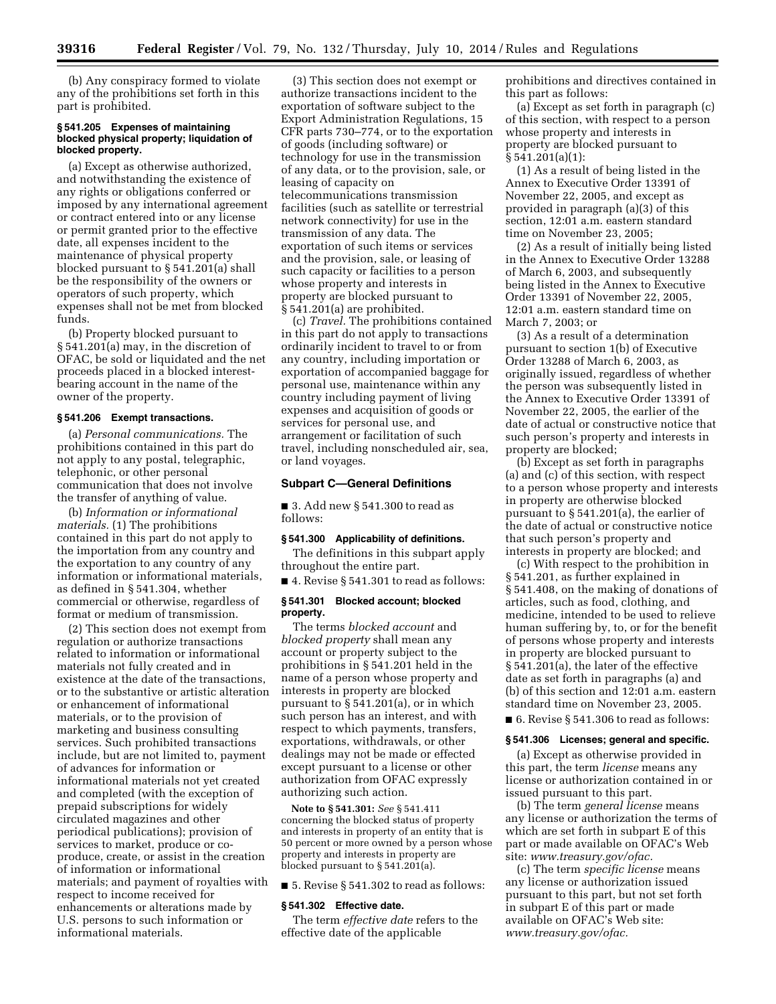(b) Any conspiracy formed to violate any of the prohibitions set forth in this part is prohibited.

### **§ 541.205 Expenses of maintaining blocked physical property; liquidation of blocked property.**

(a) Except as otherwise authorized, and notwithstanding the existence of any rights or obligations conferred or imposed by any international agreement or contract entered into or any license or permit granted prior to the effective date, all expenses incident to the maintenance of physical property blocked pursuant to § 541.201(a) shall be the responsibility of the owners or operators of such property, which expenses shall not be met from blocked funds.

(b) Property blocked pursuant to § 541.201(a) may, in the discretion of OFAC, be sold or liquidated and the net proceeds placed in a blocked interestbearing account in the name of the owner of the property.

### **§ 541.206 Exempt transactions.**

(a) *Personal communications.* The prohibitions contained in this part do not apply to any postal, telegraphic, telephonic, or other personal communication that does not involve the transfer of anything of value.

(b) *Information or informational materials.* (1) The prohibitions contained in this part do not apply to the importation from any country and the exportation to any country of any information or informational materials, as defined in § 541.304, whether commercial or otherwise, regardless of format or medium of transmission.

(2) This section does not exempt from regulation or authorize transactions related to information or informational materials not fully created and in existence at the date of the transactions, or to the substantive or artistic alteration or enhancement of informational materials, or to the provision of marketing and business consulting services. Such prohibited transactions include, but are not limited to, payment of advances for information or informational materials not yet created and completed (with the exception of prepaid subscriptions for widely circulated magazines and other periodical publications); provision of services to market, produce or coproduce, create, or assist in the creation of information or informational materials; and payment of royalties with respect to income received for enhancements or alterations made by U.S. persons to such information or informational materials.

(3) This section does not exempt or authorize transactions incident to the exportation of software subject to the Export Administration Regulations, 15 CFR parts 730–774, or to the exportation of goods (including software) or technology for use in the transmission of any data, or to the provision, sale, or leasing of capacity on telecommunications transmission facilities (such as satellite or terrestrial network connectivity) for use in the transmission of any data. The exportation of such items or services and the provision, sale, or leasing of such capacity or facilities to a person whose property and interests in property are blocked pursuant to § 541.201(a) are prohibited.

(c) *Travel.* The prohibitions contained in this part do not apply to transactions ordinarily incident to travel to or from any country, including importation or exportation of accompanied baggage for personal use, maintenance within any country including payment of living expenses and acquisition of goods or services for personal use, and arrangement or facilitation of such travel, including nonscheduled air, sea, or land voyages.

#### **Subpart C—General Definitions**

■ 3. Add new § 541.300 to read as follows:

### **§ 541.300 Applicability of definitions.**

The definitions in this subpart apply throughout the entire part.

■ 4. Revise § 541.301 to read as follows:

### **§ 541.301 Blocked account; blocked property.**

The terms *blocked account* and *blocked property* shall mean any account or property subject to the prohibitions in § 541.201 held in the name of a person whose property and interests in property are blocked pursuant to  $\S$  541.201(a), or in which such person has an interest, and with respect to which payments, transfers, exportations, withdrawals, or other dealings may not be made or effected except pursuant to a license or other authorization from OFAC expressly authorizing such action.

**Note to § 541.301:** *See* § 541.411 concerning the blocked status of property and interests in property of an entity that is 50 percent or more owned by a person whose property and interests in property are blocked pursuant to § 541.201(a).

■ 5. Revise § 541.302 to read as follows:

#### **§ 541.302 Effective date.**

The term *effective date* refers to the effective date of the applicable

prohibitions and directives contained in this part as follows:

(a) Except as set forth in paragraph (c) of this section, with respect to a person whose property and interests in property are blocked pursuant to § 541.201(a)(1):

(1) As a result of being listed in the Annex to Executive Order 13391 of November 22, 2005, and except as provided in paragraph (a)(3) of this section, 12:01 a.m. eastern standard time on November 23, 2005;

(2) As a result of initially being listed in the Annex to Executive Order 13288 of March 6, 2003, and subsequently being listed in the Annex to Executive Order 13391 of November 22, 2005, 12:01 a.m. eastern standard time on March 7, 2003; or

(3) As a result of a determination pursuant to section 1(b) of Executive Order 13288 of March 6, 2003, as originally issued, regardless of whether the person was subsequently listed in the Annex to Executive Order 13391 of November 22, 2005, the earlier of the date of actual or constructive notice that such person's property and interests in property are blocked;

(b) Except as set forth in paragraphs (a) and (c) of this section, with respect to a person whose property and interests in property are otherwise blocked pursuant to § 541.201(a), the earlier of the date of actual or constructive notice that such person's property and interests in property are blocked; and

(c) With respect to the prohibition in § 541.201, as further explained in § 541.408, on the making of donations of articles, such as food, clothing, and medicine, intended to be used to relieve human suffering by, to, or for the benefit of persons whose property and interests in property are blocked pursuant to § 541.201(a), the later of the effective date as set forth in paragraphs (a) and (b) of this section and 12:01 a.m. eastern standard time on November 23, 2005.

■ 6. Revise § 541.306 to read as follows:

### **§ 541.306 Licenses; general and specific.**

(a) Except as otherwise provided in this part, the term *license* means any license or authorization contained in or issued pursuant to this part.

(b) The term *general license* means any license or authorization the terms of which are set forth in subpart E of this part or made available on OFAC's Web site: *www.treasury.gov/ofac.* 

(c) The term *specific license* means any license or authorization issued pursuant to this part, but not set forth in subpart E of this part or made available on OFAC's Web site: *www.treasury.gov/ofac.*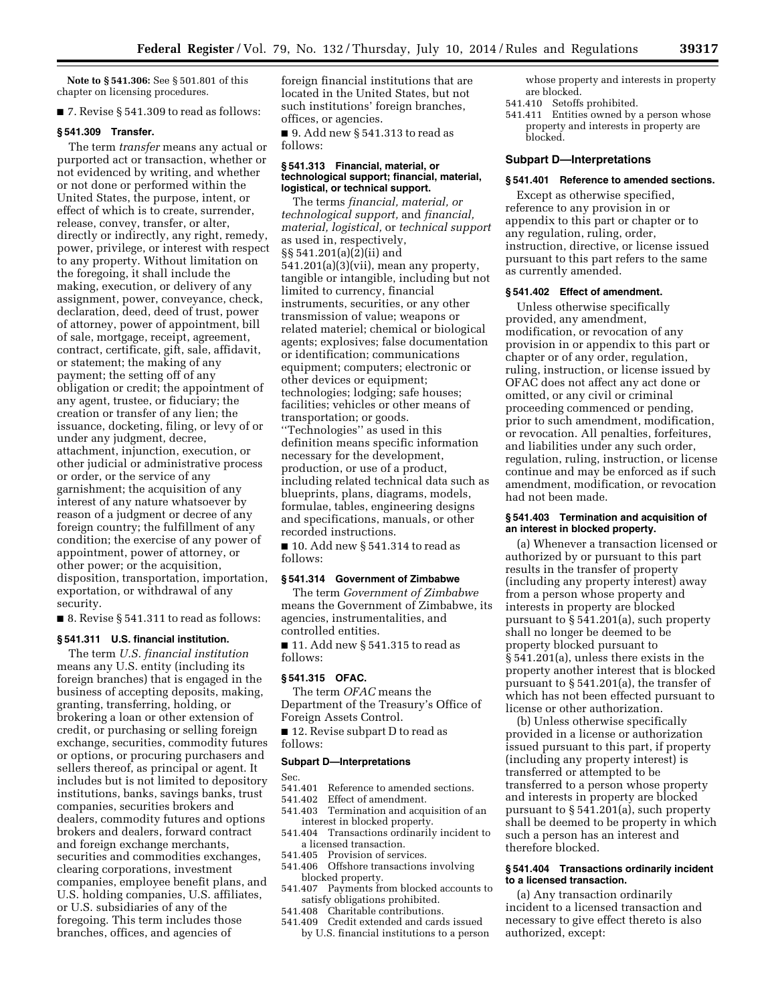**Note to § 541.306:** See § 501.801 of this chapter on licensing procedures.

■ 7. Revise § 541.309 to read as follows:

#### **§ 541.309 Transfer.**

The term *transfer* means any actual or purported act or transaction, whether or not evidenced by writing, and whether or not done or performed within the United States, the purpose, intent, or effect of which is to create, surrender, release, convey, transfer, or alter, directly or indirectly, any right, remedy, power, privilege, or interest with respect to any property. Without limitation on the foregoing, it shall include the making, execution, or delivery of any assignment, power, conveyance, check, declaration, deed, deed of trust, power of attorney, power of appointment, bill of sale, mortgage, receipt, agreement, contract, certificate, gift, sale, affidavit, or statement; the making of any payment; the setting off of any obligation or credit; the appointment of any agent, trustee, or fiduciary; the creation or transfer of any lien; the issuance, docketing, filing, or levy of or under any judgment, decree, attachment, injunction, execution, or other judicial or administrative process or order, or the service of any garnishment; the acquisition of any interest of any nature whatsoever by reason of a judgment or decree of any foreign country; the fulfillment of any condition; the exercise of any power of appointment, power of attorney, or other power; or the acquisition, disposition, transportation, importation, exportation, or withdrawal of any security.

■ 8. Revise § 541.311 to read as follows:

### **§ 541.311 U.S. financial institution.**

The term *U.S. financial institution*  means any U.S. entity (including its foreign branches) that is engaged in the business of accepting deposits, making, granting, transferring, holding, or brokering a loan or other extension of credit, or purchasing or selling foreign exchange, securities, commodity futures or options, or procuring purchasers and sellers thereof, as principal or agent. It includes but is not limited to depository institutions, banks, savings banks, trust companies, securities brokers and dealers, commodity futures and options brokers and dealers, forward contract and foreign exchange merchants, securities and commodities exchanges, clearing corporations, investment companies, employee benefit plans, and U.S. holding companies, U.S. affiliates, or U.S. subsidiaries of any of the foregoing. This term includes those branches, offices, and agencies of

foreign financial institutions that are located in the United States, but not such institutions' foreign branches, offices, or agencies.

■ 9. Add new § 541.313 to read as follows:

### **§ 541.313 Financial, material, or technological support; financial, material, logistical, or technical support.**

The terms *financial, material, or technological support,* and *financial, material, logistical,* or *technical support*  as used in, respectively, §§ 541.201(a)(2)(ii) and 541.201(a)(3)(vii), mean any property, tangible or intangible, including but not limited to currency, financial instruments, securities, or any other transmission of value; weapons or related materiel; chemical or biological agents; explosives; false documentation or identification; communications equipment; computers; electronic or other devices or equipment; technologies; lodging; safe houses; facilities; vehicles or other means of transportation; or goods. ''Technologies'' as used in this definition means specific information necessary for the development, production, or use of a product, including related technical data such as blueprints, plans, diagrams, models, formulae, tables, engineering designs and specifications, manuals, or other recorded instructions.

■ 10. Add new § 541.314 to read as follows:

# **§ 541.314 Government of Zimbabwe**

The term *Government of Zimbabwe*  means the Government of Zimbabwe, its agencies, instrumentalities, and controlled entities.

■ 11. Add new § 541.315 to read as follows:

#### **§ 541.315 OFAC.**

The term *OFAC* means the Department of the Treasury's Office of Foreign Assets Control.

■ 12. Revise subpart D to read as

# follows:

#### **Subpart D—Interpretations**

Sec.

- 541.401 Reference to amended sections.<br>541.402 Effect of amendment.
- Effect of amendment.
- 541.403 Termination and acquisition of an interest in blocked property.
- 541.404 Transactions ordinarily incident to a licensed transaction.
- 541.405 Provision of services.
- 541.406 Offshore transactions involving blocked property.
- 541.407 Payments from blocked accounts to satisfy obligations prohibited.
- 541.408 Charitable contributions.
- 541.409 Credit extended and cards issued by U.S. financial institutions to a person
- whose property and interests in property are blocked.
- 541.410 Setoffs prohibited.
- 541.411 Entities owned by a person whose property and interests in property are blocked.

## **Subpart D—Interpretations**

### **§ 541.401 Reference to amended sections.**

Except as otherwise specified, reference to any provision in or appendix to this part or chapter or to any regulation, ruling, order, instruction, directive, or license issued pursuant to this part refers to the same as currently amended.

### **§ 541.402 Effect of amendment.**

Unless otherwise specifically provided, any amendment, modification, or revocation of any provision in or appendix to this part or chapter or of any order, regulation, ruling, instruction, or license issued by OFAC does not affect any act done or omitted, or any civil or criminal proceeding commenced or pending, prior to such amendment, modification, or revocation. All penalties, forfeitures, and liabilities under any such order, regulation, ruling, instruction, or license continue and may be enforced as if such amendment, modification, or revocation had not been made.

### **§ 541.403 Termination and acquisition of an interest in blocked property.**

(a) Whenever a transaction licensed or authorized by or pursuant to this part results in the transfer of property (including any property interest) away from a person whose property and interests in property are blocked pursuant to § 541.201(a), such property shall no longer be deemed to be property blocked pursuant to § 541.201(a), unless there exists in the property another interest that is blocked pursuant to § 541.201(a), the transfer of which has not been effected pursuant to license or other authorization.

(b) Unless otherwise specifically provided in a license or authorization issued pursuant to this part, if property (including any property interest) is transferred or attempted to be transferred to a person whose property and interests in property are blocked pursuant to § 541.201(a), such property shall be deemed to be property in which such a person has an interest and therefore blocked.

## **§ 541.404 Transactions ordinarily incident to a licensed transaction.**

(a) Any transaction ordinarily incident to a licensed transaction and necessary to give effect thereto is also authorized, except: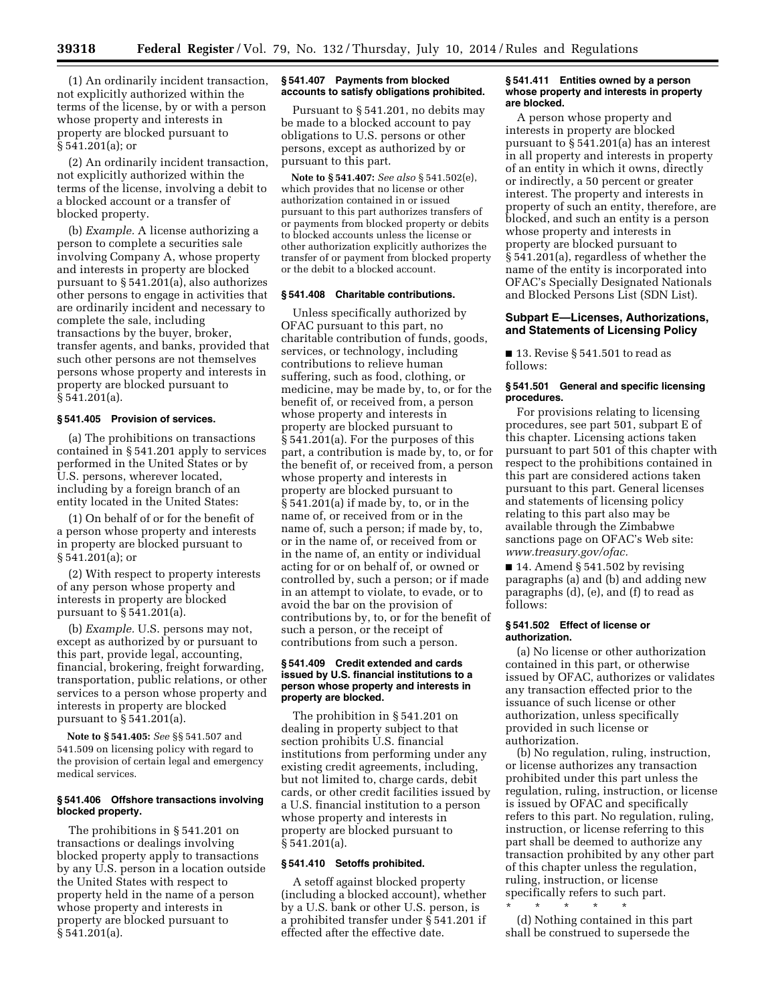(1) An ordinarily incident transaction, not explicitly authorized within the terms of the license, by or with a person whose property and interests in property are blocked pursuant to § 541.201(a); or

(2) An ordinarily incident transaction, not explicitly authorized within the terms of the license, involving a debit to a blocked account or a transfer of blocked property.

(b) *Example.* A license authorizing a person to complete a securities sale involving Company A, whose property and interests in property are blocked pursuant to § 541.201(a), also authorizes other persons to engage in activities that are ordinarily incident and necessary to complete the sale, including transactions by the buyer, broker, transfer agents, and banks, provided that such other persons are not themselves persons whose property and interests in property are blocked pursuant to § 541.201(a).

# **§ 541.405 Provision of services.**

(a) The prohibitions on transactions contained in § 541.201 apply to services performed in the United States or by U.S. persons, wherever located, including by a foreign branch of an entity located in the United States:

(1) On behalf of or for the benefit of a person whose property and interests in property are blocked pursuant to § 541.201(a); or

(2) With respect to property interests of any person whose property and interests in property are blocked pursuant to § 541.201(a).

(b) *Example.* U.S. persons may not, except as authorized by or pursuant to this part, provide legal, accounting, financial, brokering, freight forwarding, transportation, public relations, or other services to a person whose property and interests in property are blocked pursuant to § 541.201(a).

**Note to § 541.405:** *See* §§ 541.507 and 541.509 on licensing policy with regard to the provision of certain legal and emergency medical services.

### **§ 541.406 Offshore transactions involving blocked property.**

The prohibitions in § 541.201 on transactions or dealings involving blocked property apply to transactions by any U.S. person in a location outside the United States with respect to property held in the name of a person whose property and interests in property are blocked pursuant to § 541.201(a).

## **§ 541.407 Payments from blocked accounts to satisfy obligations prohibited.**

Pursuant to § 541.201, no debits may be made to a blocked account to pay obligations to U.S. persons or other persons, except as authorized by or pursuant to this part.

**Note to § 541.407:** *See also* § 541.502(e), which provides that no license or other authorization contained in or issued pursuant to this part authorizes transfers of or payments from blocked property or debits to blocked accounts unless the license or other authorization explicitly authorizes the transfer of or payment from blocked property or the debit to a blocked account.

### **§ 541.408 Charitable contributions.**

Unless specifically authorized by OFAC pursuant to this part, no charitable contribution of funds, goods, services, or technology, including contributions to relieve human suffering, such as food, clothing, or medicine, may be made by, to, or for the benefit of, or received from, a person whose property and interests in property are blocked pursuant to § 541.201(a). For the purposes of this part, a contribution is made by, to, or for the benefit of, or received from, a person whose property and interests in property are blocked pursuant to § 541.201(a) if made by, to, or in the name of, or received from or in the name of, such a person; if made by, to, or in the name of, or received from or in the name of, an entity or individual acting for or on behalf of, or owned or controlled by, such a person; or if made in an attempt to violate, to evade, or to avoid the bar on the provision of contributions by, to, or for the benefit of such a person, or the receipt of contributions from such a person.

### **§ 541.409 Credit extended and cards issued by U.S. financial institutions to a person whose property and interests in property are blocked.**

The prohibition in § 541.201 on dealing in property subject to that section prohibits U.S. financial institutions from performing under any existing credit agreements, including, but not limited to, charge cards, debit cards, or other credit facilities issued by a U.S. financial institution to a person whose property and interests in property are blocked pursuant to § 541.201(a).

#### **§ 541.410 Setoffs prohibited.**

A setoff against blocked property (including a blocked account), whether by a U.S. bank or other U.S. person, is a prohibited transfer under § 541.201 if effected after the effective date.

### **§ 541.411 Entities owned by a person whose property and interests in property are blocked.**

A person whose property and interests in property are blocked pursuant to § 541.201(a) has an interest in all property and interests in property of an entity in which it owns, directly or indirectly, a 50 percent or greater interest. The property and interests in property of such an entity, therefore, are blocked, and such an entity is a person whose property and interests in property are blocked pursuant to § 541.201(a), regardless of whether the name of the entity is incorporated into OFAC's Specially Designated Nationals and Blocked Persons List (SDN List).

### **Subpart E—Licenses, Authorizations, and Statements of Licensing Policy**

■ 13. Revise § 541.501 to read as follows:

# **§ 541.501 General and specific licensing procedures.**

For provisions relating to licensing procedures, see part 501, subpart E of this chapter. Licensing actions taken pursuant to part 501 of this chapter with respect to the prohibitions contained in this part are considered actions taken pursuant to this part. General licenses and statements of licensing policy relating to this part also may be available through the Zimbabwe sanctions page on OFAC's Web site: *www.treasury.gov/ofac.* 

 $\blacksquare$  14. Amend § 541.502 by revising paragraphs (a) and (b) and adding new paragraphs (d), (e), and (f) to read as follows:

### **§ 541.502 Effect of license or authorization.**

(a) No license or other authorization contained in this part, or otherwise issued by OFAC, authorizes or validates any transaction effected prior to the issuance of such license or other authorization, unless specifically provided in such license or authorization.

(b) No regulation, ruling, instruction, or license authorizes any transaction prohibited under this part unless the regulation, ruling, instruction, or license is issued by OFAC and specifically refers to this part. No regulation, ruling, instruction, or license referring to this part shall be deemed to authorize any transaction prohibited by any other part of this chapter unless the regulation, ruling, instruction, or license specifically refers to such part.

\* \* \* \* \* (d) Nothing contained in this part shall be construed to supersede the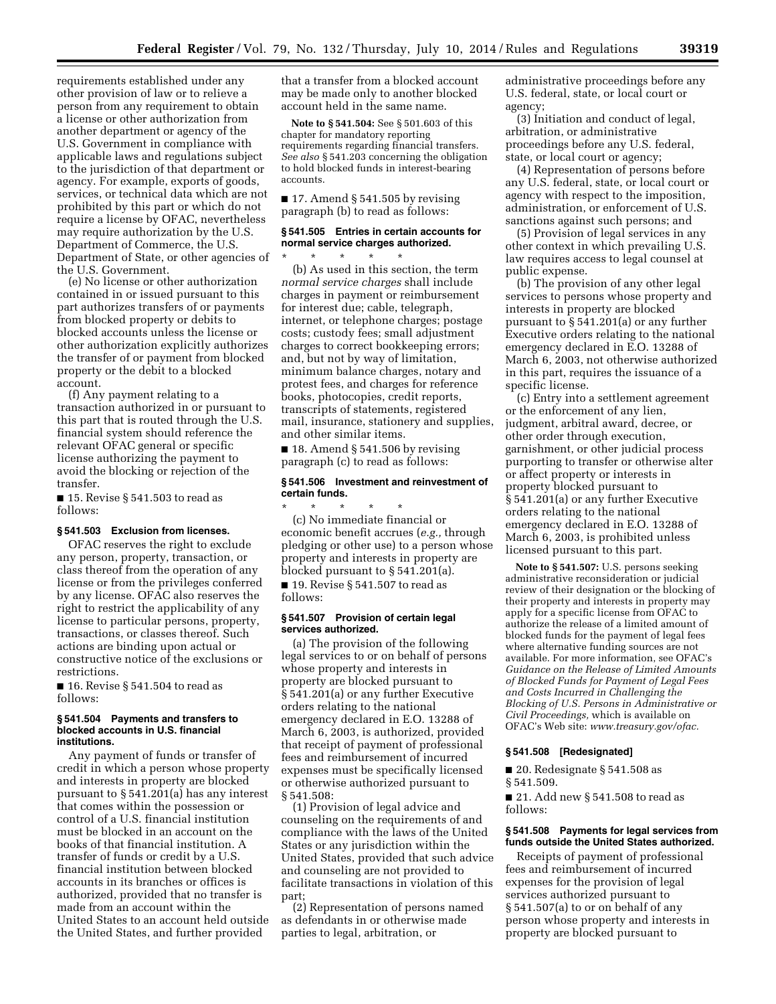requirements established under any other provision of law or to relieve a person from any requirement to obtain a license or other authorization from another department or agency of the U.S. Government in compliance with applicable laws and regulations subject to the jurisdiction of that department or agency. For example, exports of goods, services, or technical data which are not prohibited by this part or which do not require a license by OFAC, nevertheless may require authorization by the U.S. Department of Commerce, the U.S. Department of State, or other agencies of the U.S. Government.

(e) No license or other authorization contained in or issued pursuant to this part authorizes transfers of or payments from blocked property or debits to blocked accounts unless the license or other authorization explicitly authorizes the transfer of or payment from blocked property or the debit to a blocked account.

(f) Any payment relating to a transaction authorized in or pursuant to this part that is routed through the U.S. financial system should reference the relevant OFAC general or specific license authorizing the payment to avoid the blocking or rejection of the transfer.

■ 15. Revise § 541.503 to read as follows:

#### **§ 541.503 Exclusion from licenses.**

OFAC reserves the right to exclude any person, property, transaction, or class thereof from the operation of any license or from the privileges conferred by any license. OFAC also reserves the right to restrict the applicability of any license to particular persons, property, transactions, or classes thereof. Such actions are binding upon actual or constructive notice of the exclusions or restrictions.

 $\blacksquare$  16. Revise § 541.504 to read as follows:

### **§ 541.504 Payments and transfers to blocked accounts in U.S. financial institutions.**

Any payment of funds or transfer of credit in which a person whose property and interests in property are blocked pursuant to § 541.201(a) has any interest that comes within the possession or control of a U.S. financial institution must be blocked in an account on the books of that financial institution. A transfer of funds or credit by a U.S. financial institution between blocked accounts in its branches or offices is authorized, provided that no transfer is made from an account within the United States to an account held outside the United States, and further provided

that a transfer from a blocked account may be made only to another blocked account held in the same name.

**Note to § 541.504:** See § 501.603 of this chapter for mandatory reporting requirements regarding financial transfers. *See also* § 541.203 concerning the obligation to hold blocked funds in interest-bearing accounts.

■ 17. Amend § 541.505 by revising paragraph (b) to read as follows:

# **§ 541.505 Entries in certain accounts for normal service charges authorized.**

\* \* \* \* \* (b) As used in this section, the term *normal service charges* shall include charges in payment or reimbursement for interest due; cable, telegraph, internet, or telephone charges; postage costs; custody fees; small adjustment charges to correct bookkeeping errors; and, but not by way of limitation, minimum balance charges, notary and protest fees, and charges for reference books, photocopies, credit reports, transcripts of statements, registered mail, insurance, stationery and supplies, and other similar items.

 $\blacksquare$  18. Amend § 541.506 by revising paragraph (c) to read as follows:

### **§ 541.506 Investment and reinvestment of certain funds.**

\* \* \* \* \* (c) No immediate financial or economic benefit accrues (*e.g.,* through pledging or other use) to a person whose property and interests in property are blocked pursuant to § 541.201(a).

■ 19. Revise § 541.507 to read as follows:

### **§ 541.507 Provision of certain legal services authorized.**

(a) The provision of the following legal services to or on behalf of persons whose property and interests in property are blocked pursuant to § 541.201(a) or any further Executive orders relating to the national emergency declared in E.O. 13288 of March 6, 2003, is authorized, provided that receipt of payment of professional fees and reimbursement of incurred expenses must be specifically licensed or otherwise authorized pursuant to § 541.508:

(1) Provision of legal advice and counseling on the requirements of and compliance with the laws of the United States or any jurisdiction within the United States, provided that such advice and counseling are not provided to facilitate transactions in violation of this part;

(2) Representation of persons named as defendants in or otherwise made parties to legal, arbitration, or

administrative proceedings before any U.S. federal, state, or local court or agency;

(3) Initiation and conduct of legal, arbitration, or administrative proceedings before any U.S. federal, state, or local court or agency;

(4) Representation of persons before any U.S. federal, state, or local court or agency with respect to the imposition, administration, or enforcement of U.S. sanctions against such persons; and

(5) Provision of legal services in any other context in which prevailing U.S. law requires access to legal counsel at public expense.

(b) The provision of any other legal services to persons whose property and interests in property are blocked pursuant to § 541.201(a) or any further Executive orders relating to the national emergency declared in E.O. 13288 of March 6, 2003, not otherwise authorized in this part, requires the issuance of a specific license.

(c) Entry into a settlement agreement or the enforcement of any lien, judgment, arbitral award, decree, or other order through execution, garnishment, or other judicial process purporting to transfer or otherwise alter or affect property or interests in property blocked pursuant to § 541.201(a) or any further Executive orders relating to the national emergency declared in E.O. 13288 of March 6, 2003, is prohibited unless licensed pursuant to this part.

**Note to § 541.507:** U.S. persons seeking administrative reconsideration or judicial review of their designation or the blocking of their property and interests in property may apply for a specific license from OFAC to authorize the release of a limited amount of blocked funds for the payment of legal fees where alternative funding sources are not available. For more information, see OFAC's *Guidance on the Release of Limited Amounts of Blocked Funds for Payment of Legal Fees and Costs Incurred in Challenging the Blocking of U.S. Persons in Administrative or Civil Proceedings,* which is available on OFAC's Web site: *www.treasury.gov/ofac.* 

### **§ 541.508 [Redesignated]**

■ 20. Redesignate § 541.508 as § 541.509.

■ 21. Add new § 541.508 to read as follows:

### **§ 541.508 Payments for legal services from funds outside the United States authorized.**

Receipts of payment of professional fees and reimbursement of incurred expenses for the provision of legal services authorized pursuant to § 541.507(a) to or on behalf of any person whose property and interests in property are blocked pursuant to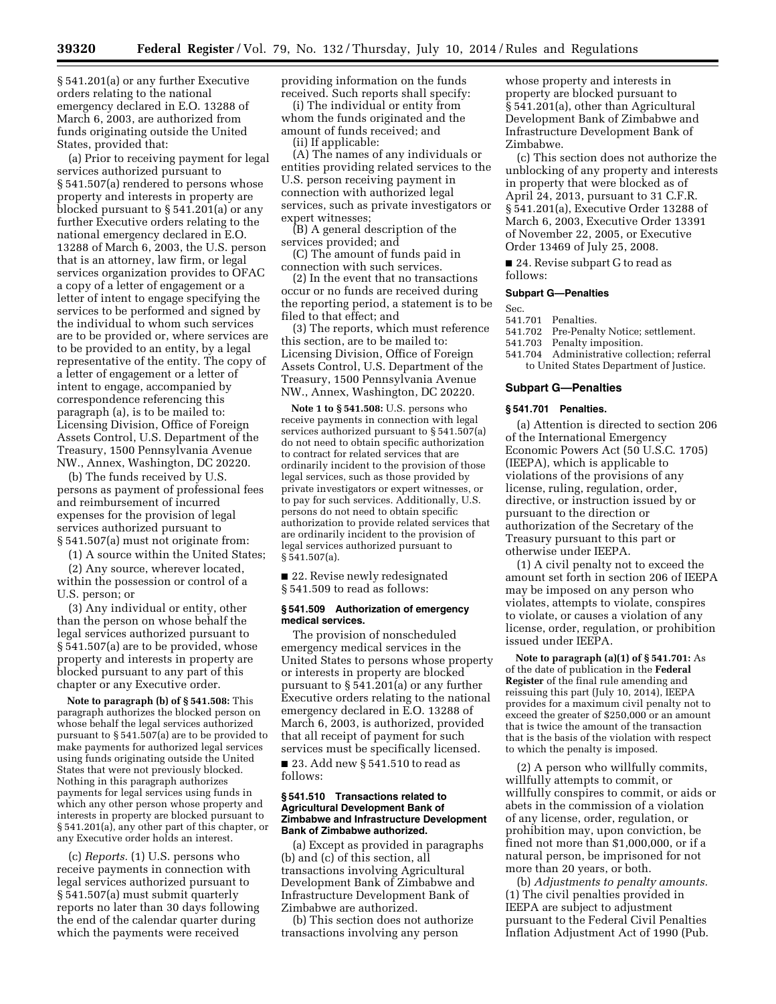§ 541.201(a) or any further Executive orders relating to the national emergency declared in E.O. 13288 of March 6, 2003, are authorized from funds originating outside the United States, provided that:

(a) Prior to receiving payment for legal services authorized pursuant to § 541.507(a) rendered to persons whose property and interests in property are blocked pursuant to § 541.201(a) or any further Executive orders relating to the national emergency declared in E.O. 13288 of March 6, 2003, the U.S. person that is an attorney, law firm, or legal services organization provides to OFAC a copy of a letter of engagement or a letter of intent to engage specifying the services to be performed and signed by the individual to whom such services are to be provided or, where services are to be provided to an entity, by a legal representative of the entity. The copy of a letter of engagement or a letter of intent to engage, accompanied by correspondence referencing this paragraph (a), is to be mailed to: Licensing Division, Office of Foreign Assets Control, U.S. Department of the Treasury, 1500 Pennsylvania Avenue NW., Annex, Washington, DC 20220.

(b) The funds received by U.S. persons as payment of professional fees and reimbursement of incurred expenses for the provision of legal services authorized pursuant to § 541.507(a) must not originate from:

(1) A source within the United States;

(2) Any source, wherever located, within the possession or control of a U.S. person; or

(3) Any individual or entity, other than the person on whose behalf the legal services authorized pursuant to § 541.507(a) are to be provided, whose property and interests in property are blocked pursuant to any part of this chapter or any Executive order.

**Note to paragraph (b) of § 541.508:** This paragraph authorizes the blocked person on whose behalf the legal services authorized pursuant to § 541.507(a) are to be provided to make payments for authorized legal services using funds originating outside the United States that were not previously blocked. Nothing in this paragraph authorizes payments for legal services using funds in which any other person whose property and interests in property are blocked pursuant to § 541.201(a), any other part of this chapter, or any Executive order holds an interest.

(c) *Reports.* (1) U.S. persons who receive payments in connection with legal services authorized pursuant to § 541.507(a) must submit quarterly reports no later than 30 days following the end of the calendar quarter during which the payments were received

providing information on the funds received. Such reports shall specify:

(i) The individual or entity from whom the funds originated and the amount of funds received; and

(ii) If applicable:

(A) The names of any individuals or entities providing related services to the U.S. person receiving payment in connection with authorized legal services, such as private investigators or expert witnesses;

(B) A general description of the services provided; and

(C) The amount of funds paid in connection with such services.

(2) In the event that no transactions occur or no funds are received during the reporting period, a statement is to be filed to that effect; and

(3) The reports, which must reference this section, are to be mailed to: Licensing Division, Office of Foreign Assets Control, U.S. Department of the Treasury, 1500 Pennsylvania Avenue NW., Annex, Washington, DC 20220.

**Note 1 to § 541.508:** U.S. persons who receive payments in connection with legal services authorized pursuant to § 541.507(a) do not need to obtain specific authorization to contract for related services that are ordinarily incident to the provision of those legal services, such as those provided by private investigators or expert witnesses, or to pay for such services. Additionally, U.S. persons do not need to obtain specific authorization to provide related services that are ordinarily incident to the provision of legal services authorized pursuant to § 541.507(a).

■ 22. Revise newly redesignated § 541.509 to read as follows:

### **§ 541.509 Authorization of emergency medical services.**

The provision of nonscheduled emergency medical services in the United States to persons whose property or interests in property are blocked pursuant to § 541.201(a) or any further Executive orders relating to the national emergency declared in E.O. 13288 of March 6, 2003, is authorized, provided that all receipt of payment for such services must be specifically licensed.

■ 23. Add new § 541.510 to read as follows:

### **§ 541.510 Transactions related to Agricultural Development Bank of Zimbabwe and Infrastructure Development Bank of Zimbabwe authorized.**

(a) Except as provided in paragraphs (b) and (c) of this section, all transactions involving Agricultural Development Bank of Zimbabwe and Infrastructure Development Bank of Zimbabwe are authorized.

(b) This section does not authorize transactions involving any person

whose property and interests in property are blocked pursuant to § 541.201(a), other than Agricultural Development Bank of Zimbabwe and Infrastructure Development Bank of Zimbabwe.

(c) This section does not authorize the unblocking of any property and interests in property that were blocked as of April 24, 2013, pursuant to 31 C.F.R. § 541.201(a), Executive Order 13288 of March 6, 2003, Executive Order 13391 of November 22, 2005, or Executive Order 13469 of July 25, 2008.

■ 24. Revise subpart G to read as follows:

### **Subpart G—Penalties**

- Sec.<br>541.701
- 541.701 Penalties. Pre-Penalty Notice; settlement.
- 541.703 Penalty imposition.
- 541.704 Administrative collection; referral to United States Department of Justice.

# **Subpart G—Penalties**

#### **§ 541.701 Penalties.**

(a) Attention is directed to section 206 of the International Emergency Economic Powers Act (50 U.S.C. 1705) (IEEPA), which is applicable to violations of the provisions of any license, ruling, regulation, order, directive, or instruction issued by or pursuant to the direction or authorization of the Secretary of the Treasury pursuant to this part or otherwise under IEEPA.

(1) A civil penalty not to exceed the amount set forth in section 206 of IEEPA may be imposed on any person who violates, attempts to violate, conspires to violate, or causes a violation of any license, order, regulation, or prohibition issued under IEEPA.

**Note to paragraph (a)(1) of § 541.701:** As of the date of publication in the **Federal Register** of the final rule amending and reissuing this part (July 10, 2014), IEEPA provides for a maximum civil penalty not to exceed the greater of \$250,000 or an amount that is twice the amount of the transaction that is the basis of the violation with respect to which the penalty is imposed.

(2) A person who willfully commits, willfully attempts to commit, or willfully conspires to commit, or aids or abets in the commission of a violation of any license, order, regulation, or prohibition may, upon conviction, be fined not more than \$1,000,000, or if a natural person, be imprisoned for not more than 20 years, or both.

(b) *Adjustments to penalty amounts.*  (1) The civil penalties provided in IEEPA are subject to adjustment pursuant to the Federal Civil Penalties Inflation Adjustment Act of 1990 (Pub.